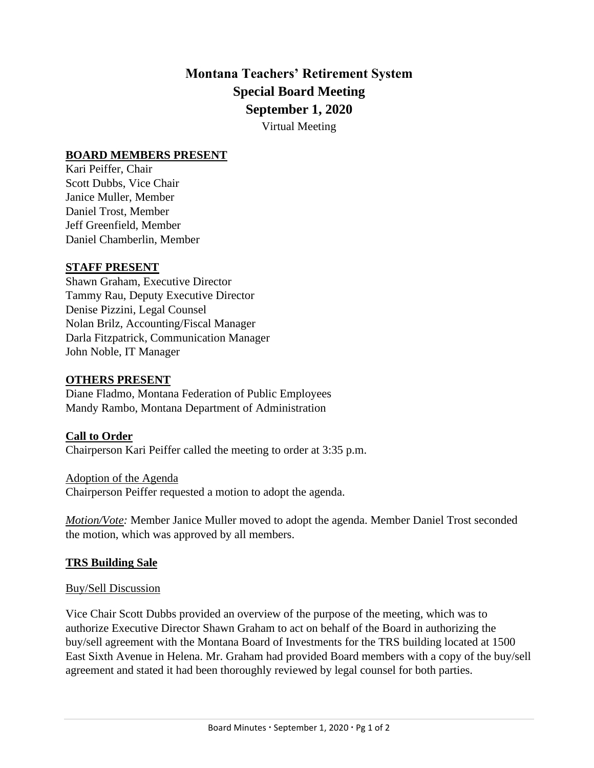# **Montana Teachers' Retirement System Special Board Meeting September 1, 2020**

Virtual Meeting

## **BOARD MEMBERS PRESENT**

Kari Peiffer, Chair Scott Dubbs, Vice Chair Janice Muller, Member Daniel Trost, Member Jeff Greenfield, Member Daniel Chamberlin, Member

#### **STAFF PRESENT**

Shawn Graham, Executive Director Tammy Rau, Deputy Executive Director Denise Pizzini, Legal Counsel Nolan Brilz, Accounting/Fiscal Manager Darla Fitzpatrick, Communication Manager John Noble, IT Manager

#### **OTHERS PRESENT**

Diane Fladmo, Montana Federation of Public Employees Mandy Rambo, Montana Department of Administration

#### **Call to Order**

Chairperson Kari Peiffer called the meeting to order at 3:35 p.m.

Adoption of the Agenda Chairperson Peiffer requested a motion to adopt the agenda.

*Motion/Vote:* Member Janice Muller moved to adopt the agenda. Member Daniel Trost seconded the motion, which was approved by all members.

#### **TRS Building Sale**

#### Buy/Sell Discussion

Vice Chair Scott Dubbs provided an overview of the purpose of the meeting, which was to authorize Executive Director Shawn Graham to act on behalf of the Board in authorizing the buy/sell agreement with the Montana Board of Investments for the TRS building located at 1500 East Sixth Avenue in Helena. Mr. Graham had provided Board members with a copy of the buy/sell agreement and stated it had been thoroughly reviewed by legal counsel for both parties.